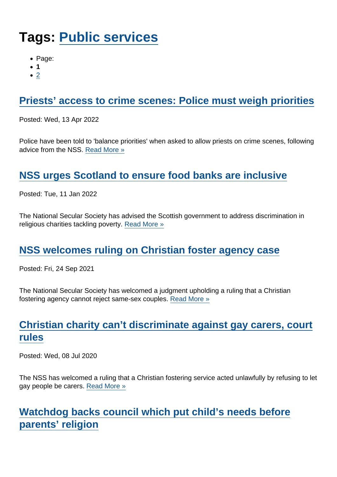# Tags: [Public services](https://www.secularism.org.uk/news/tags/Public+services)

- Page:
- 1
- $\bullet$  [2](/mnt/web-data/www/cp-nss/news/tags/Public+services)

## [Priests' access to crime scenes: Police must weigh priorities](https://www.secularism.org.uk/news/2022/04/priests-access-to-crime-scenes-police-must-weigh-priorities)

Posted: Wed, 13 Apr 2022

Police have been told to 'balance priorities' when asked to allow priests on crime scenes, following advice from the NSS. [Read More »](https://www.secularism.org.uk/news/2022/04/priests-access-to-crime-scenes-police-must-weigh-priorities)

## [NSS urges Scotland to ensure food banks are inclusive](https://www.secularism.org.uk/news/2022/01/nss-urges-scotland-to-ensure-food-banks-are-inclusive)

Posted: Tue, 11 Jan 2022

The National Secular Society has advised the Scottish government to address discrimination in religious charities tackling poverty. [Read More »](https://www.secularism.org.uk/news/2022/01/nss-urges-scotland-to-ensure-food-banks-are-inclusive)

### [NSS welcomes ruling on Christian foster agency case](https://www.secularism.org.uk/news/2021/09/nss-welcomes-ruling-on-christian-foster-agency-case)

Posted: Fri, 24 Sep 2021

The National Secular Society has welcomed a judgment upholding a ruling that a Christian fostering agency cannot reject same-sex couples. [Read More »](https://www.secularism.org.uk/news/2021/09/nss-welcomes-ruling-on-christian-foster-agency-case)

## [Christian charity can't discriminate against gay carers, court](https://www.secularism.org.uk/news/2020/07/christian-charity-cant-discriminate-against-gay-carers-court-rules) [rules](https://www.secularism.org.uk/news/2020/07/christian-charity-cant-discriminate-against-gay-carers-court-rules)

Posted: Wed, 08 Jul 2020

The NSS has welcomed a ruling that a Christian fostering service acted unlawfully by refusing to let gay people be carers. [Read More »](https://www.secularism.org.uk/news/2020/07/christian-charity-cant-discriminate-against-gay-carers-court-rules)

[Watchdog backs council which put child's needs before](https://www.secularism.org.uk/news/2019/07/watchdog-backs-council-which-put-childs-needs-before-parents-religion) [parents' religion](https://www.secularism.org.uk/news/2019/07/watchdog-backs-council-which-put-childs-needs-before-parents-religion)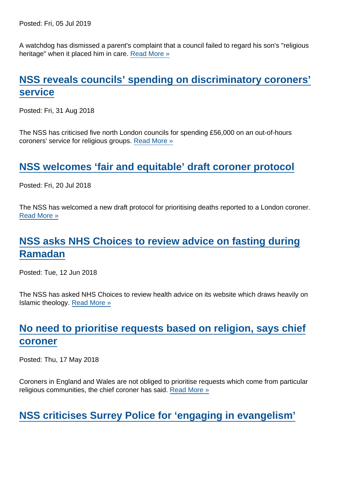Posted: Fri, 05 Jul 2019

A watchdog has dismissed a parent's complaint that a council failed to regard his son's "religious heritage" when it placed him in care. [Read More »](https://www.secularism.org.uk/news/2019/07/watchdog-backs-council-which-put-childs-needs-before-parents-religion)

## [NSS reveals councils' spending on discriminatory coroners'](https://www.secularism.org.uk/news/2018/08/nss-reveals-councils-spending-on-discriminatory-coroners-service) [service](https://www.secularism.org.uk/news/2018/08/nss-reveals-councils-spending-on-discriminatory-coroners-service)

Posted: Fri, 31 Aug 2018

The NSS has criticised five north London councils for spending £56,000 on an out-of-hours coroners' service for religious groups. [Read More »](https://www.secularism.org.uk/news/2018/08/nss-reveals-councils-spending-on-discriminatory-coroners-service)

#### [NSS welcomes 'fair and equitable' draft coroner protocol](https://www.secularism.org.uk/news/2018/07/nss-welcome-fair-and-equitable-draft-coroner-protocol)

Posted: Fri, 20 Jul 2018

The NSS has welcomed a new draft protocol for prioritising deaths reported to a London coroner. [Read More »](https://www.secularism.org.uk/news/2018/07/nss-welcome-fair-and-equitable-draft-coroner-protocol)

# [NSS asks NHS Choices to review advice on fasting during](https://www.secularism.org.uk/news/2018/06/nss-asks-nhs-choices-to-review-advice-on-fasting-during-ramadan) [Ramadan](https://www.secularism.org.uk/news/2018/06/nss-asks-nhs-choices-to-review-advice-on-fasting-during-ramadan)

Posted: Tue, 12 Jun 2018

The NSS has asked NHS Choices to review health advice on its website which draws heavily on Islamic theology. [Read More »](https://www.secularism.org.uk/news/2018/06/nss-asks-nhs-choices-to-review-advice-on-fasting-during-ramadan)

## [No need to prioritise requests based on religion, says chief](https://www.secularism.org.uk/news/2018/05/no-need-to-prioritise-requests-based-on-religion-says-chief-coroner) [coroner](https://www.secularism.org.uk/news/2018/05/no-need-to-prioritise-requests-based-on-religion-says-chief-coroner)

Posted: Thu, 17 May 2018

Coroners in England and Wales are not obliged to prioritise requests which come from particular religious communities, the chief coroner has said. [Read More »](https://www.secularism.org.uk/news/2018/05/no-need-to-prioritise-requests-based-on-religion-says-chief-coroner)

[NSS criticises Surrey Police for 'engaging in evangelism'](https://www.secularism.org.uk/news/2018/04/nss-criticises-surrey-police-for-engaging-in-evangelism)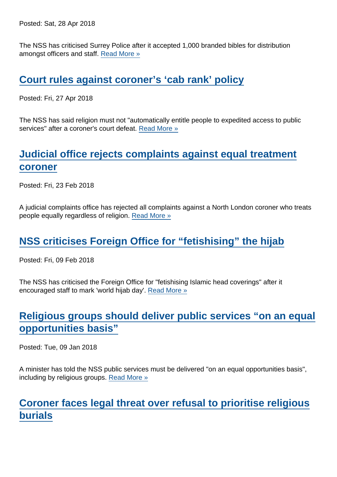Posted: Sat, 28 Apr 2018

The NSS has criticised Surrey Police after it accepted 1,000 branded bibles for distribution amongst officers and staff. [Read More »](https://www.secularism.org.uk/news/2018/04/nss-criticises-surrey-police-for-engaging-in-evangelism)

[Court rules against coroner's 'cab rank' policy](https://www.secularism.org.uk/news/2018/04/court-rules-against-coroners-cab-rank-policy)

Posted: Fri, 27 Apr 2018

The NSS has said religion must not "automatically entitle people to expedited access to public services" after a coroner's court defeat. [Read More »](https://www.secularism.org.uk/news/2018/04/court-rules-against-coroners-cab-rank-policy)

# [Judicial office rejects complaints against equal treatment](https://www.secularism.org.uk/news/2018/02/judicial-office-rejects-complaints-against-equal-treatment-coroner) [coroner](https://www.secularism.org.uk/news/2018/02/judicial-office-rejects-complaints-against-equal-treatment-coroner)

Posted: Fri, 23 Feb 2018

A judicial complaints office has rejected all complaints against a North London coroner who treats people equally regardless of religion. [Read More »](https://www.secularism.org.uk/news/2018/02/judicial-office-rejects-complaints-against-equal-treatment-coroner)

#### [NSS criticises Foreign Office for "fetishising" the hijab](https://www.secularism.org.uk/news/2018/02/nss-criticises-foreign-office-for-fetishising-the-hijab)

Posted: Fri, 09 Feb 2018

The NSS has criticised the Foreign Office for "fetishising Islamic head coverings" after it encouraged staff to mark 'world hijab day'. [Read More »](https://www.secularism.org.uk/news/2018/02/nss-criticises-foreign-office-for-fetishising-the-hijab)

#### [Religious groups should deliver public services "on an equal](https://www.secularism.org.uk/news/2018/01/religious-groups-should-deliver-public-services-on-an-equal-opportunities-basis) [opportunities basis"](https://www.secularism.org.uk/news/2018/01/religious-groups-should-deliver-public-services-on-an-equal-opportunities-basis)

Posted: Tue, 09 Jan 2018

A minister has told the NSS public services must be delivered "on an equal opportunities basis", including by religious groups. [Read More »](https://www.secularism.org.uk/news/2018/01/religious-groups-should-deliver-public-services-on-an-equal-opportunities-basis)

### [Coroner faces legal threat over refusal to prioritise religious](https://www.secularism.org.uk/news/2018/01/legal-threat-over-coroners-refusal-to-prioritise-religious-burials) [burials](https://www.secularism.org.uk/news/2018/01/legal-threat-over-coroners-refusal-to-prioritise-religious-burials)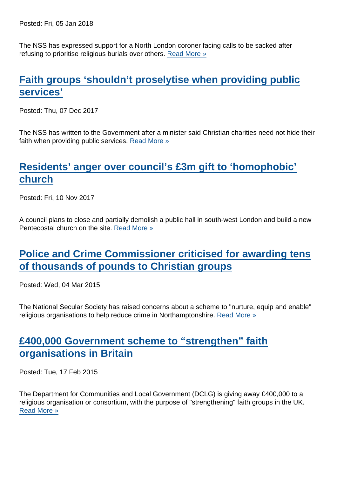Posted: Fri, 05 Jan 2018

The NSS has expressed support for a North London coroner facing calls to be sacked after refusing to prioritise religious burials over others. [Read More »](https://www.secularism.org.uk/news/2018/01/legal-threat-over-coroners-refusal-to-prioritise-religious-burials)

## [Faith groups 'shouldn't proselytise when providing public](https://www.secularism.org.uk/news/2017/12/faith-groups-shouldnt-proselytise-when-providing-public-services) [services'](https://www.secularism.org.uk/news/2017/12/faith-groups-shouldnt-proselytise-when-providing-public-services)

Posted: Thu, 07 Dec 2017

The NSS has written to the Government after a minister said Christian charities need not hide their faith when providing public services. [Read More »](https://www.secularism.org.uk/news/2017/12/faith-groups-shouldnt-proselytise-when-providing-public-services)

## [Residents' anger over council's £3m gift to 'homophobic'](https://www.secularism.org.uk/news/2017/11/residents-anger-over-councils-gbp3m-gift-to-homophobic-church) [church](https://www.secularism.org.uk/news/2017/11/residents-anger-over-councils-gbp3m-gift-to-homophobic-church)

Posted: Fri, 10 Nov 2017

A council plans to close and partially demolish a public hall in south-west London and build a new Pentecostal church on the site. [Read More »](https://www.secularism.org.uk/news/2017/11/residents-anger-over-councils-gbp3m-gift-to-homophobic-church)

#### [Police and Crime Commissioner criticised for awarding tens](https://www.secularism.org.uk/news/2015/03/police-and-crime-commissioner-criticised-for-awarding-tens-of-thousands-of-pounds-to-christian-groups) [of thousands of pounds to Christian groups](https://www.secularism.org.uk/news/2015/03/police-and-crime-commissioner-criticised-for-awarding-tens-of-thousands-of-pounds-to-christian-groups)

Posted: Wed, 04 Mar 2015

The National Secular Society has raised concerns about a scheme to "nurture, equip and enable" religious organisations to help reduce crime in Northamptonshire. [Read More »](https://www.secularism.org.uk/news/2015/03/police-and-crime-commissioner-criticised-for-awarding-tens-of-thousands-of-pounds-to-christian-groups)

### [£400,000 Government scheme to "strengthen" faith](https://www.secularism.org.uk/news/2015/02/gbp400000-government-scheme-to-strengthen-faith-organisations-in-britain) [organisations in Britain](https://www.secularism.org.uk/news/2015/02/gbp400000-government-scheme-to-strengthen-faith-organisations-in-britain)

Posted: Tue, 17 Feb 2015

The Department for Communities and Local Government (DCLG) is giving away £400,000 to a religious organisation or consortium, with the purpose of "strengthening" faith groups in the UK. [Read More »](https://www.secularism.org.uk/news/2015/02/gbp400000-government-scheme-to-strengthen-faith-organisations-in-britain)